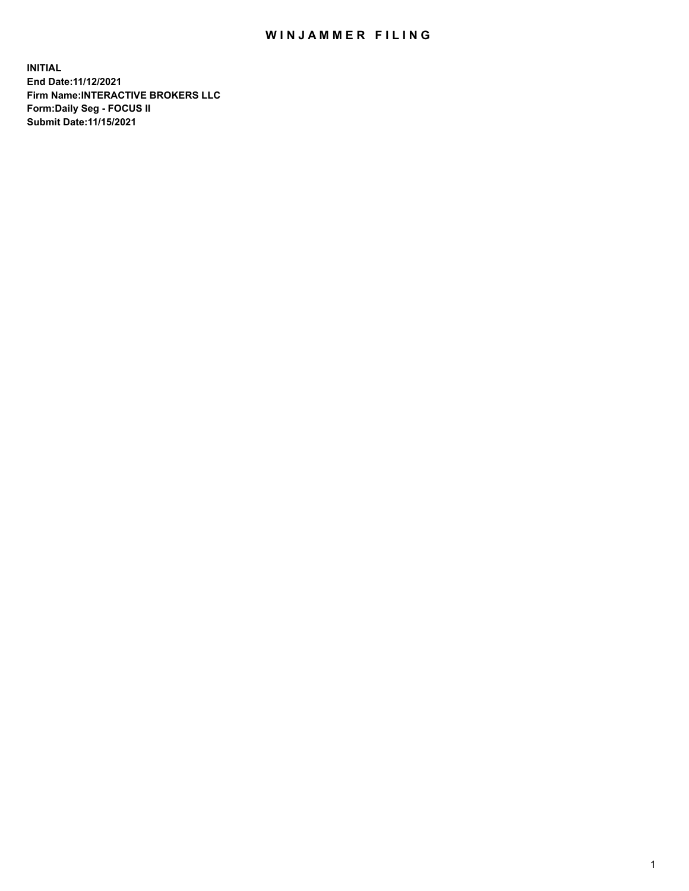## WIN JAMMER FILING

**INITIAL End Date:11/12/2021 Firm Name:INTERACTIVE BROKERS LLC Form:Daily Seg - FOCUS II Submit Date:11/15/2021**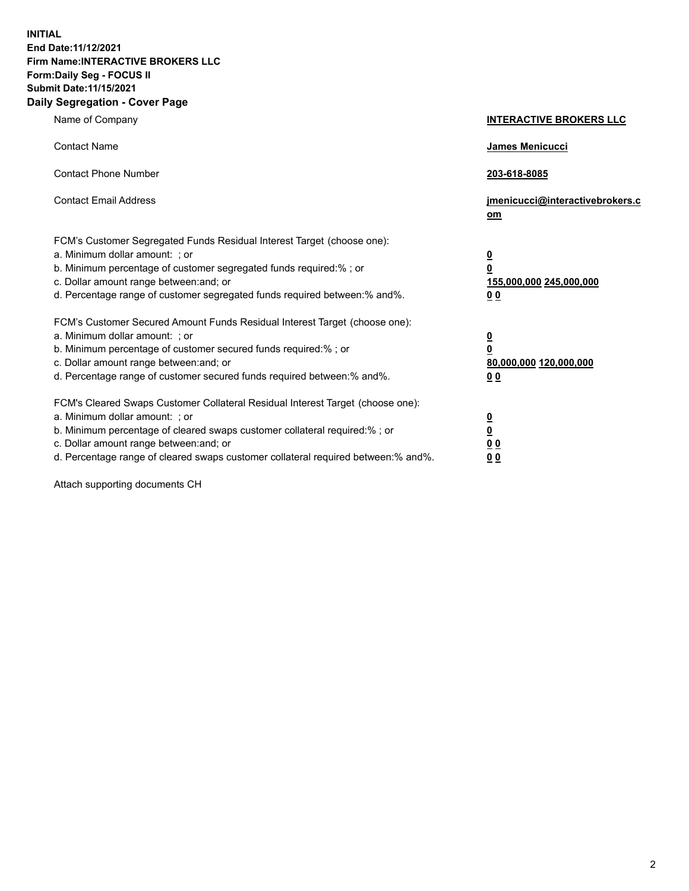**INITIAL End Date:11/12/2021 Firm Name:INTERACTIVE BROKERS LLC Form:Daily Seg - FOCUS II Submit Date:11/15/2021 Daily Segregation - Cover Page**

| Name of Company                                                                                                                                                                                                                                                                                                                | <b>INTERACTIVE BROKERS LLC</b>                                                                           |
|--------------------------------------------------------------------------------------------------------------------------------------------------------------------------------------------------------------------------------------------------------------------------------------------------------------------------------|----------------------------------------------------------------------------------------------------------|
| <b>Contact Name</b>                                                                                                                                                                                                                                                                                                            | James Menicucci                                                                                          |
| <b>Contact Phone Number</b>                                                                                                                                                                                                                                                                                                    | 203-618-8085                                                                                             |
| <b>Contact Email Address</b>                                                                                                                                                                                                                                                                                                   | jmenicucci@interactivebrokers.c<br>om                                                                    |
| FCM's Customer Segregated Funds Residual Interest Target (choose one):<br>a. Minimum dollar amount: ; or<br>b. Minimum percentage of customer segregated funds required:% ; or<br>c. Dollar amount range between: and; or<br>d. Percentage range of customer segregated funds required between:% and%.                         | $\overline{\mathbf{0}}$<br>$\overline{\mathbf{0}}$<br>155,000,000 245,000,000<br>0 <sub>0</sub>          |
| FCM's Customer Secured Amount Funds Residual Interest Target (choose one):<br>a. Minimum dollar amount: ; or<br>b. Minimum percentage of customer secured funds required:%; or<br>c. Dollar amount range between: and; or<br>d. Percentage range of customer secured funds required between:% and%.                            | $\overline{\mathbf{0}}$<br>$\overline{\mathbf{0}}$<br>80,000,000 120,000,000<br>00                       |
| FCM's Cleared Swaps Customer Collateral Residual Interest Target (choose one):<br>a. Minimum dollar amount: ; or<br>b. Minimum percentage of cleared swaps customer collateral required:% ; or<br>c. Dollar amount range between: and; or<br>d. Percentage range of cleared swaps customer collateral required between:% and%. | $\overline{\mathbf{0}}$<br>$\underline{\mathbf{0}}$<br>$\underline{0}$ $\underline{0}$<br>0 <sub>0</sub> |

Attach supporting documents CH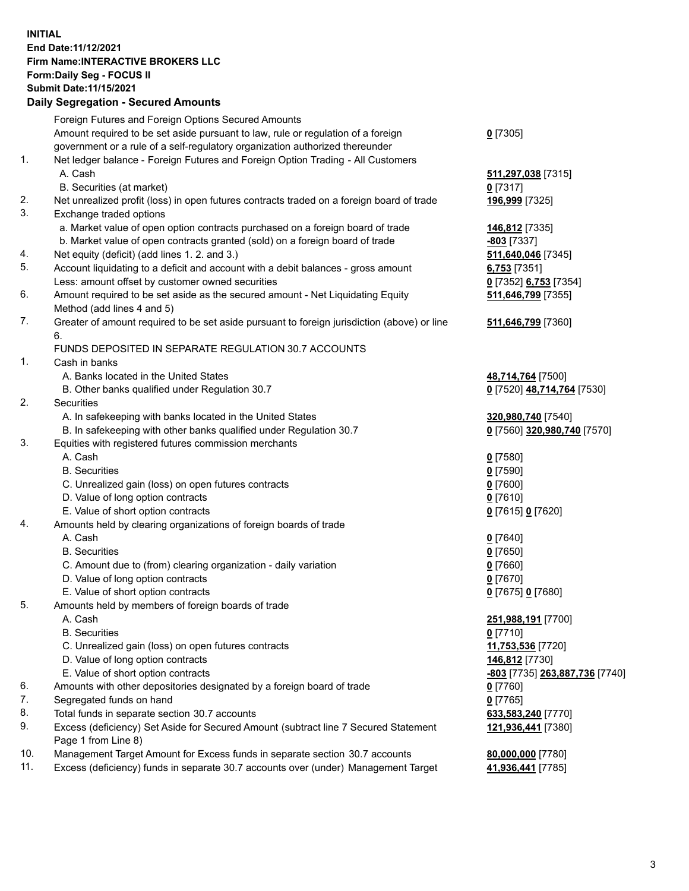## **INITIAL End Date:11/12/2021 Firm Name:INTERACTIVE BROKERS LLC Form:Daily Seg - FOCUS II Submit Date:11/15/2021 Daily Segregation - Secured Amounts**

|     | Daily Ocglegation - Occuled Anioants                                                                       |                                |
|-----|------------------------------------------------------------------------------------------------------------|--------------------------------|
|     | Foreign Futures and Foreign Options Secured Amounts                                                        |                                |
|     | Amount required to be set aside pursuant to law, rule or regulation of a foreign                           | $0$ [7305]                     |
|     | government or a rule of a self-regulatory organization authorized thereunder                               |                                |
| 1.  | Net ledger balance - Foreign Futures and Foreign Option Trading - All Customers                            |                                |
|     | A. Cash                                                                                                    | 511,297,038 [7315]             |
|     | B. Securities (at market)                                                                                  | $0$ [7317]                     |
| 2.  | Net unrealized profit (loss) in open futures contracts traded on a foreign board of trade                  | 196,999 [7325]                 |
| 3.  | Exchange traded options                                                                                    |                                |
|     | a. Market value of open option contracts purchased on a foreign board of trade                             | 146,812 [7335]                 |
|     | b. Market value of open contracts granted (sold) on a foreign board of trade                               | $-803$ [7337]                  |
| 4.  | Net equity (deficit) (add lines 1. 2. and 3.)                                                              | 511,640,046 [7345]             |
| 5.  | Account liquidating to a deficit and account with a debit balances - gross amount                          | $6,753$ [7351]                 |
|     | Less: amount offset by customer owned securities                                                           | 0 [7352] 6,753 [7354]          |
| 6.  | Amount required to be set aside as the secured amount - Net Liquidating Equity                             | 511,646,799 [7355]             |
|     | Method (add lines 4 and 5)                                                                                 |                                |
| 7.  | Greater of amount required to be set aside pursuant to foreign jurisdiction (above) or line                | 511,646,799 [7360]             |
|     | 6.                                                                                                         |                                |
|     | FUNDS DEPOSITED IN SEPARATE REGULATION 30.7 ACCOUNTS                                                       |                                |
| 1.  | Cash in banks                                                                                              |                                |
|     | A. Banks located in the United States                                                                      | 48,714,764 [7500]              |
|     | B. Other banks qualified under Regulation 30.7                                                             | 0 [7520] 48,714,764 [7530]     |
| 2.  | <b>Securities</b>                                                                                          |                                |
|     | A. In safekeeping with banks located in the United States                                                  | 320,980,740 [7540]             |
|     | B. In safekeeping with other banks qualified under Regulation 30.7                                         | 0 [7560] 320,980,740 [7570]    |
| 3.  | Equities with registered futures commission merchants                                                      |                                |
|     | A. Cash                                                                                                    | $0$ [7580]                     |
|     | <b>B.</b> Securities                                                                                       | $0$ [7590]                     |
|     | C. Unrealized gain (loss) on open futures contracts                                                        | $0$ [7600]                     |
|     | D. Value of long option contracts                                                                          | $0$ [7610]                     |
|     | E. Value of short option contracts                                                                         | 0 [7615] 0 [7620]              |
| 4.  | Amounts held by clearing organizations of foreign boards of trade                                          |                                |
|     | A. Cash                                                                                                    | $0$ [7640]                     |
|     | <b>B.</b> Securities                                                                                       | $0$ [7650]                     |
|     | C. Amount due to (from) clearing organization - daily variation                                            | $0$ [7660]                     |
|     | D. Value of long option contracts                                                                          | $0$ [7670]                     |
|     | E. Value of short option contracts                                                                         | 0 [7675] 0 [7680]              |
| 5.  | Amounts held by members of foreign boards of trade                                                         |                                |
|     | A. Cash                                                                                                    | 251,988,191 [7700]             |
|     | <b>B.</b> Securities                                                                                       | $0$ [7710]                     |
|     | C. Unrealized gain (loss) on open futures contracts                                                        | 11,753,536 [7720]              |
|     | D. Value of long option contracts                                                                          | 146,812 [7730]                 |
|     | E. Value of short option contracts                                                                         | -803 [7735] 263,887,736 [7740] |
| 6.  | Amounts with other depositories designated by a foreign board of trade                                     | 0 [7760]                       |
| 7.  | Segregated funds on hand                                                                                   | $0$ [7765]                     |
| 8.  | Total funds in separate section 30.7 accounts                                                              | 633,583,240 [7770]             |
| 9.  | Excess (deficiency) Set Aside for Secured Amount (subtract line 7 Secured Statement<br>Page 1 from Line 8) | 121,936,441 [7380]             |
| 10. | Management Target Amount for Excess funds in separate section 30.7 accounts                                | 80,000,000 [7780]              |
| 11. | Excess (deficiency) funds in separate 30.7 accounts over (under) Management Target                         | 41,936,441 [7785]              |
|     |                                                                                                            |                                |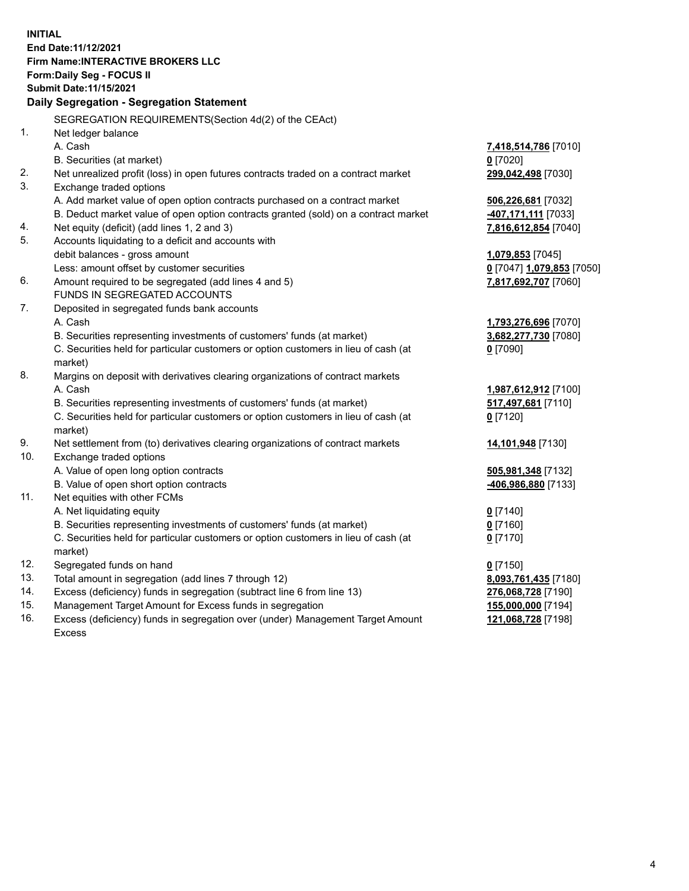**INITIAL End Date:11/12/2021 Firm Name:INTERACTIVE BROKERS LLC Form:Daily Seg - FOCUS II Submit Date:11/15/2021 Daily Segregation - Segregation Statement** SEGREGATION REQUIREMENTS(Section 4d(2) of the CEAct) 1. Net ledger balance A. Cash **7,418,514,786** [7010] B. Securities (at market) **0** [7020] 2. Net unrealized profit (loss) in open futures contracts traded on a contract market **299,042,498** [7030] 3. Exchange traded options A. Add market value of open option contracts purchased on a contract market **506,226,681** [7032] B. Deduct market value of open option contracts granted (sold) on a contract market **-407,171,111** [7033] 4. Net equity (deficit) (add lines 1, 2 and 3) **7,816,612,854** [7040] 5. Accounts liquidating to a deficit and accounts with debit balances - gross amount **1,079,853** [7045] Less: amount offset by customer securities **0** [7047] **1,079,853** [7050] 6. Amount required to be segregated (add lines 4 and 5) **7,817,692,707** [7060] FUNDS IN SEGREGATED ACCOUNTS 7. Deposited in segregated funds bank accounts A. Cash **1,793,276,696** [7070] B. Securities representing investments of customers' funds (at market) **3,682,277,730** [7080] C. Securities held for particular customers or option customers in lieu of cash (at market) **0** [7090] 8. Margins on deposit with derivatives clearing organizations of contract markets A. Cash **1,987,612,912** [7100] B. Securities representing investments of customers' funds (at market) **517,497,681** [7110] C. Securities held for particular customers or option customers in lieu of cash (at market) **0** [7120] 9. Net settlement from (to) derivatives clearing organizations of contract markets **14,101,948** [7130] 10. Exchange traded options A. Value of open long option contracts **505,981,348** [7132] B. Value of open short option contracts **-406,986,880** [7133] 11. Net equities with other FCMs A. Net liquidating equity **0** [7140] B. Securities representing investments of customers' funds (at market) **0** [7160] C. Securities held for particular customers or option customers in lieu of cash (at market) **0** [7170] 12. Segregated funds on hand **0** [7150] 13. Total amount in segregation (add lines 7 through 12) **8,093,761,435** [7180] 14. Excess (deficiency) funds in segregation (subtract line 6 from line 13) **276,068,728** [7190] 15. Management Target Amount for Excess funds in segregation **155,000,000** [7194] 16. Excess (deficiency) funds in segregation over (under) Management Target Amount **121,068,728** [7198]

Excess